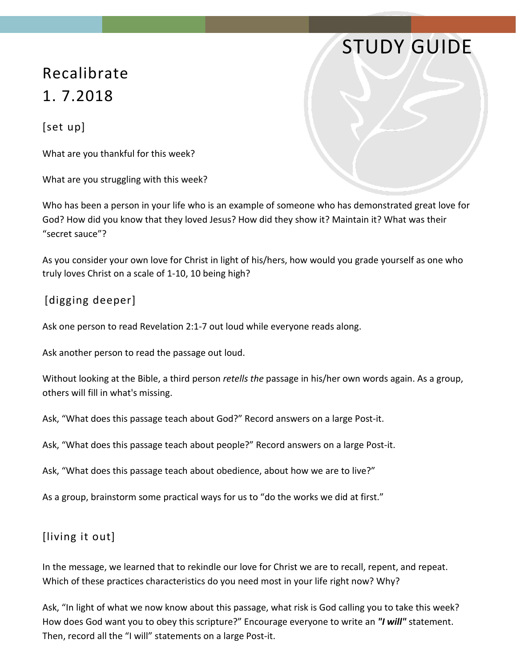## STUDY GUIDE

## Recalibrate 1. 7.2018

[set up]

What are you thankful for this week?

What are you struggling with this week?

Who has been a person in your life who is an example of someone who has demonstrated great love for God? How did you know that they loved Jesus? How did they show it? Maintain it? What was their "secret sauce"?

As you consider your own love for Christ in light of his/hers, how would you grade yourself as one who truly loves Christ on a scale of 1-10, 10 being high?

## [digging deeper]

Ask one person to read Revelation 2:1-7 out loud while everyone reads along.

Ask another person to read the passage out loud.

Without looking at the Bible, a third person *retells the* passage in his/her own words again. As a group, others will fill in what's missing.

Ask, "What does this passage teach about God?" Record answers on a large Post-it.

Ask, "What does this passage teach about people?" Record answers on a large Post-it.

Ask, "What does this passage teach about obedience, about how we are to live?"

As a group, brainstorm some practical ways for us to "do the works we did at first."

## [living it out]

In the message, we learned that to rekindle our love for Christ we are to recall, repent, and repeat. Which of these practices characteristics do you need most in your life right now? Why?

Ask, "In light of what we now know about this passage, what risk is God calling you to take this week? How does God want you to obey this scripture?" Encourage everyone to write an *"I will"* statement. Then, record all the "I will" statements on a large Post-it.